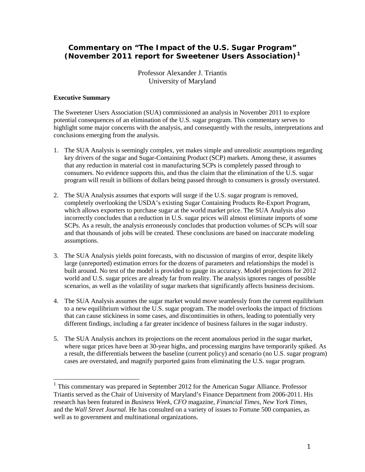# **Commentary on "The Impact of the U.S. Sugar Program" (November 2011 report for Sweetener Users Association)[1](#page-0-0)**

Professor Alexander J. Triantis University of Maryland

#### **Executive Summary**

The Sweetener Users Association (SUA) commissioned an analysis in November 2011 to explore potential consequences of an elimination of the U.S. sugar program. This commentary serves to highlight some major concerns with the analysis, and consequently with the results, interpretations and conclusions emerging from the analysis.

- 1. The SUA Analysis is seemingly complex, yet makes simple and unrealistic assumptions regarding key drivers of the sugar and Sugar-Containing Product (SCP) markets. Among these, it assumes that any reduction in material cost in manufacturing SCPs is completely passed through to consumers. No evidence supports this, and thus the claim that the elimination of the U.S. sugar program will result in billions of dollars being passed through to consumers is grossly overstated.
- 2. The SUA Analysis assumes that exports will surge if the U.S. sugar program is removed, completely overlooking the USDA's existing Sugar Containing Products Re-Export Program, which allows exporters to purchase sugar at the world market price. The SUA Analysis also incorrectly concludes that a reduction in U.S. sugar prices will almost eliminate imports of some SCPs. As a result, the analysis erroneously concludes that production volumes of SCPs will soar and that thousands of jobs will be created. These conclusions are based on inaccurate modeling assumptions.
- 3. The SUA Analysis yields point forecasts, with no discussion of margins of error, despite likely large (unreported) estimation errors for the dozens of parameters and relationships the model is built around. No test of the model is provided to gauge its accuracy. Model projections for 2012 world and U.S. sugar prices are already far from reality. The analysis ignores ranges of possible scenarios, as well as the volatility of sugar markets that significantly affects business decisions.
- 4. The SUA Analysis assumes the sugar market would move seamlessly from the current equilibrium to a new equilibrium without the U.S. sugar program. The model overlooks the impact of frictions that can cause stickiness in some cases, and discontinuities in others, leading to potentially very different findings, including a far greater incidence of business failures in the sugar industry.
- 5. The SUA Analysis anchors its projections on the recent anomalous period in the sugar market, where sugar prices have been at 30-year highs, and processing margins have temporarily spiked. As a result, the differentials between the baseline (current policy) and scenario (no U.S. sugar program) cases are overstated, and magnify purported gains from eliminating the U.S. sugar program.

<span id="page-0-0"></span><sup>&</sup>lt;sup>1</sup> This commentary was prepared in September 2012 for the American Sugar Alliance. Professor Triantis served as the Chair of University of Maryland's Finance Department from 2006-2011. His research has been featured in *Business Week*, *CFO* magazine, *Financial Times*, *New York Times*, and the *Wall Street Journal.* He has consulted on a variety of issues to Fortune 500 companies, as well as to government and multinational organizations.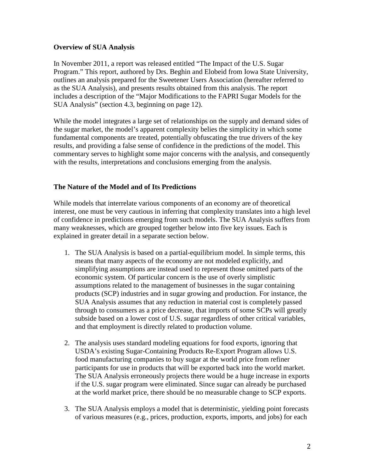#### **Overview of SUA Analysis**

In November 2011, a report was released entitled "The Impact of the U.S. Sugar Program." This report, authored by Drs. Beghin and Elobeid from Iowa State University, outlines an analysis prepared for the Sweetener Users Association (hereafter referred to as the SUA Analysis), and presents results obtained from this analysis. The report includes a description of the "Major Modifications to the FAPRI Sugar Models for the SUA Analysis" (section 4.3, beginning on page 12).

While the model integrates a large set of relationships on the supply and demand sides of the sugar market, the model's apparent complexity belies the simplicity in which some fundamental components are treated, potentially obfuscating the true drivers of the key results, and providing a false sense of confidence in the predictions of the model. This commentary serves to highlight some major concerns with the analysis, and consequently with the results, interpretations and conclusions emerging from the analysis.

# **The Nature of the Model and of Its Predictions**

While models that interrelate various components of an economy are of theoretical interest, one must be very cautious in inferring that complexity translates into a high level of confidence in predictions emerging from such models. The SUA Analysis suffers from many weaknesses, which are grouped together below into five key issues. Each is explained in greater detail in a separate section below.

- 1. The SUA Analysis is based on a partial-equilibrium model. In simple terms, this means that many aspects of the economy are not modeled explicitly, and simplifying assumptions are instead used to represent those omitted parts of the economic system. Of particular concern is the use of overly simplistic assumptions related to the management of businesses in the sugar containing products (SCP) industries and in sugar growing and production. For instance, the SUA Analysis assumes that any reduction in material cost is completely passed through to consumers as a price decrease, that imports of some SCPs will greatly subside based on a lower cost of U.S. sugar regardless of other critical variables, and that employment is directly related to production volume.
- 2. The analysis uses standard modeling equations for food exports, ignoring that USDA's existing Sugar-Containing Products Re-Export Program allows U.S. food manufacturing companies to buy sugar at the world price from refiner participants for use in products that will be exported back into the world market. The SUA Analysis erroneously projects there would be a huge increase in exports if the U.S. sugar program were eliminated. Since sugar can already be purchased at the world market price, there should be no measurable change to SCP exports.
- 3. The SUA Analysis employs a model that is deterministic, yielding point forecasts of various measures (e.g., prices, production, exports, imports, and jobs) for each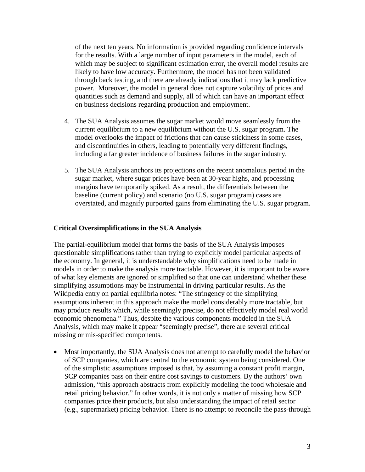of the next ten years. No information is provided regarding confidence intervals for the results. With a large number of input parameters in the model, each of which may be subject to significant estimation error, the overall model results are likely to have low accuracy. Furthermore, the model has not been validated through back testing, and there are already indications that it may lack predictive power. Moreover, the model in general does not capture volatility of prices and quantities such as demand and supply, all of which can have an important effect on business decisions regarding production and employment.

- 4. The SUA Analysis assumes the sugar market would move seamlessly from the current equilibrium to a new equilibrium without the U.S. sugar program. The model overlooks the impact of frictions that can cause stickiness in some cases, and discontinuities in others, leading to potentially very different findings, including a far greater incidence of business failures in the sugar industry.
- 5. The SUA Analysis anchors its projections on the recent anomalous period in the sugar market, where sugar prices have been at 30-year highs, and processing margins have temporarily spiked. As a result, the differentials between the baseline (current policy) and scenario (no U.S. sugar program) cases are overstated, and magnify purported gains from eliminating the U.S. sugar program.

#### **Critical Oversimplifications in the SUA Analysis**

The partial-equilibrium model that forms the basis of the SUA Analysis imposes questionable simplifications rather than trying to explicitly model particular aspects of the economy. In general, it is understandable why simplifications need to be made in models in order to make the analysis more tractable. However, it is important to be aware of what key elements are ignored or simplified so that one can understand whether these simplifying assumptions may be instrumental in driving particular results. As the Wikipedia entry on partial equilibria notes: "The stringency of the simplifying assumptions inherent in this approach make the model considerably more tractable, but may produce results which, while seemingly precise, do not effectively model real world economic phenomena." Thus, despite the various components modeled in the SUA Analysis, which may make it appear "seemingly precise", there are several critical missing or mis-specified components.

• Most importantly, the SUA Analysis does not attempt to carefully model the behavior of SCP companies, which are central to the economic system being considered. One of the simplistic assumptions imposed is that, by assuming a constant profit margin, SCP companies pass on their entire cost savings to customers. By the authors' own admission, "this approach abstracts from explicitly modeling the food wholesale and retail pricing behavior." In other words, it is not only a matter of missing how SCP companies price their products, but also understanding the impact of retail sector (e.g., supermarket) pricing behavior. There is no attempt to reconcile the pass-through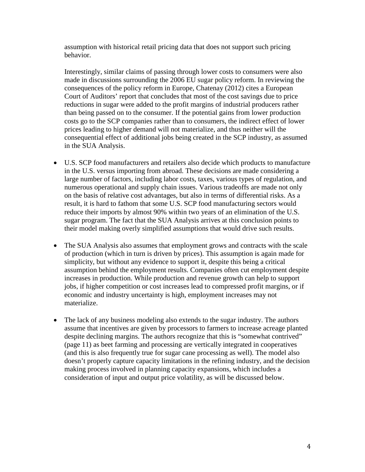assumption with historical retail pricing data that does not support such pricing behavior.

Interestingly, similar claims of passing through lower costs to consumers were also made in discussions surrounding the 2006 EU sugar policy reform. In reviewing the consequences of the policy reform in Europe, Chatenay (2012) cites a European Court of Auditors' report that concludes that most of the cost savings due to price reductions in sugar were added to the profit margins of industrial producers rather than being passed on to the consumer. If the potential gains from lower production costs go to the SCP companies rather than to consumers, the indirect effect of lower prices leading to higher demand will not materialize, and thus neither will the consequential effect of additional jobs being created in the SCP industry, as assumed in the SUA Analysis.

- U.S. SCP food manufacturers and retailers also decide which products to manufacture in the U.S. versus importing from abroad. These decisions are made considering a large number of factors, including labor costs, taxes, various types of regulation, and numerous operational and supply chain issues. Various tradeoffs are made not only on the basis of relative cost advantages, but also in terms of differential risks. As a result, it is hard to fathom that some U.S. SCP food manufacturing sectors would reduce their imports by almost 90% within two years of an elimination of the U.S. sugar program. The fact that the SUA Analysis arrives at this conclusion points to their model making overly simplified assumptions that would drive such results.
- The SUA Analysis also assumes that employment grows and contracts with the scale of production (which in turn is driven by prices). This assumption is again made for simplicity, but without any evidence to support it, despite this being a critical assumption behind the employment results. Companies often cut employment despite increases in production. While production and revenue growth can help to support jobs, if higher competition or cost increases lead to compressed profit margins, or if economic and industry uncertainty is high, employment increases may not materialize.
- The lack of any business modeling also extends to the sugar industry. The authors assume that incentives are given by processors to farmers to increase acreage planted despite declining margins. The authors recognize that this is "somewhat contrived" (page 11) as beet farming and processing are vertically integrated in cooperatives (and this is also frequently true for sugar cane processing as well). The model also doesn't properly capture capacity limitations in the refining industry, and the decision making process involved in planning capacity expansions, which includes a consideration of input and output price volatility, as will be discussed below.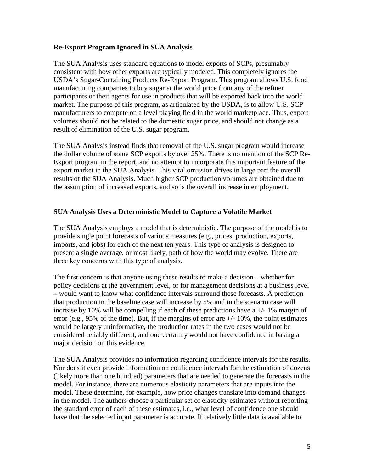#### **Re-Export Program Ignored in SUA Analysis**

The SUA Analysis uses standard equations to model exports of SCPs, presumably consistent with how other exports are typically modeled. This completely ignores the USDA's Sugar-Containing Products Re-Export Program. This program allows U.S. food manufacturing companies to buy sugar at the world price from any of the refiner participants or their agents for use in products that will be exported back into the world market. The purpose of this program, as articulated by the USDA, is to allow U.S. SCP manufacturers to compete on a level playing field in the world marketplace. Thus, export volumes should not be related to the domestic sugar price, and should not change as a result of elimination of the U.S. sugar program.

The SUA Analysis instead finds that removal of the U.S. sugar program would increase the dollar volume of some SCP exports by over 25%. There is no mention of the SCP Re-Export program in the report, and no attempt to incorporate this important feature of the export market in the SUA Analysis. This vital omission drives in large part the overall results of the SUA Analysis. Much higher SCP production volumes are obtained due to the assumption of increased exports, and so is the overall increase in employment.

# **SUA Analysis Uses a Deterministic Model to Capture a Volatile Market**

The SUA Analysis employs a model that is deterministic. The purpose of the model is to provide single point forecasts of various measures (e.g., prices, production, exports, imports, and jobs) for each of the next ten years. This type of analysis is designed to present a single average, or most likely, path of how the world may evolve. There are three key concerns with this type of analysis.

The first concern is that anyone using these results to make a decision – whether for policy decisions at the government level, or for management decisions at a business level – would want to know what confidence intervals surround these forecasts. A prediction that production in the baseline case will increase by 5% and in the scenario case will increase by 10% will be compelling if each of these predictions have  $a +/1$ % margin of error (e.g., 95% of the time). But, if the margins of error are  $+/-10\%$ , the point estimates would be largely uninformative, the production rates in the two cases would not be considered reliably different, and one certainly would not have confidence in basing a major decision on this evidence.

The SUA Analysis provides no information regarding confidence intervals for the results. Nor does it even provide information on confidence intervals for the estimation of dozens (likely more than one hundred) parameters that are needed to generate the forecasts in the model. For instance, there are numerous elasticity parameters that are inputs into the model. These determine, for example, how price changes translate into demand changes in the model. The authors choose a particular set of elasticity estimates without reporting the standard error of each of these estimates, i.e., what level of confidence one should have that the selected input parameter is accurate. If relatively little data is available to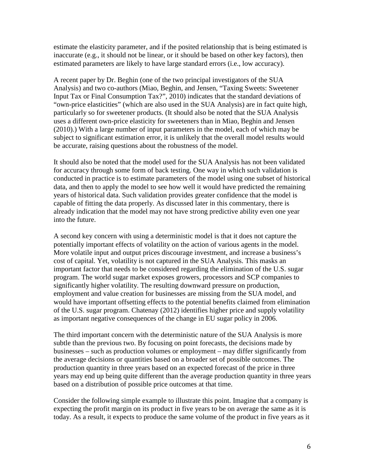estimate the elasticity parameter, and if the posited relationship that is being estimated is inaccurate (e.g., it should not be linear, or it should be based on other key factors), then estimated parameters are likely to have large standard errors (i.e., low accuracy).

A recent paper by Dr. Beghin (one of the two principal investigators of the SUA Analysis) and two co-authors (Miao, Beghin, and Jensen, "Taxing Sweets: Sweetener Input Tax or Final Consumption Tax?", 2010) indicates that the standard deviations of "own-price elasticities" (which are also used in the SUA Analysis) are in fact quite high, particularly so for sweetener products. (It should also be noted that the SUA Analysis uses a different own-price elasticity for sweeteners than in Miao, Beghin and Jensen (2010).) With a large number of input parameters in the model, each of which may be subject to significant estimation error, it is unlikely that the overall model results would be accurate, raising questions about the robustness of the model.

It should also be noted that the model used for the SUA Analysis has not been validated for accuracy through some form of back testing. One way in which such validation is conducted in practice is to estimate parameters of the model using one subset of historical data, and then to apply the model to see how well it would have predicted the remaining years of historical data. Such validation provides greater confidence that the model is capable of fitting the data properly. As discussed later in this commentary, there is already indication that the model may not have strong predictive ability even one year into the future.

A second key concern with using a deterministic model is that it does not capture the potentially important effects of volatility on the action of various agents in the model. More volatile input and output prices discourage investment, and increase a business's cost of capital. Yet, volatility is not captured in the SUA Analysis. This masks an important factor that needs to be considered regarding the elimination of the U.S. sugar program. The world sugar market exposes growers, processors and SCP companies to significantly higher volatility. The resulting downward pressure on production, employment and value creation for businesses are missing from the SUA model, and would have important offsetting effects to the potential benefits claimed from elimination of the U.S. sugar program. Chatenay (2012) identifies higher price and supply volatility as important negative consequences of the change in EU sugar policy in 2006.

The third important concern with the deterministic nature of the SUA Analysis is more subtle than the previous two. By focusing on point forecasts, the decisions made by businesses – such as production volumes or employment – may differ significantly from the average decisions or quantities based on a broader set of possible outcomes. The production quantity in three years based on an expected forecast of the price in three years may end up being quite different than the average production quantity in three years based on a distribution of possible price outcomes at that time.

Consider the following simple example to illustrate this point. Imagine that a company is expecting the profit margin on its product in five years to be on average the same as it is today. As a result, it expects to produce the same volume of the product in five years as it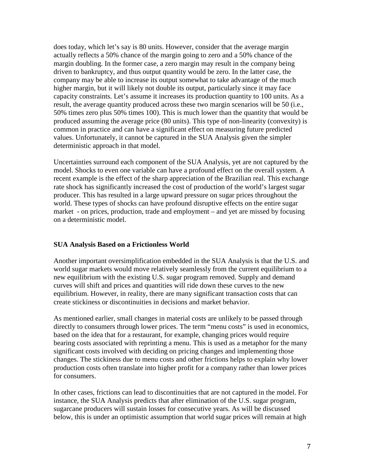does today, which let's say is 80 units. However, consider that the average margin actually reflects a 50% chance of the margin going to zero and a 50% chance of the margin doubling. In the former case, a zero margin may result in the company being driven to bankruptcy, and thus output quantity would be zero. In the latter case, the company may be able to increase its output somewhat to take advantage of the much higher margin, but it will likely not double its output, particularly since it may face capacity constraints. Let's assume it increases its production quantity to 100 units. As a result, the average quantity produced across these two margin scenarios will be 50 (i.e., 50% times zero plus 50% times 100). This is much lower than the quantity that would be produced assuming the average price (80 units). This type of non-linearity (convexity) is common in practice and can have a significant effect on measuring future predicted values. Unfortunately, it cannot be captured in the SUA Analysis given the simpler deterministic approach in that model.

Uncertainties surround each component of the SUA Analysis, yet are not captured by the model. Shocks to even one variable can have a profound effect on the overall system. A recent example is the effect of the sharp appreciation of the Brazilian real. This exchange rate shock has significantly increased the cost of production of the world's largest sugar producer. This has resulted in a large upward pressure on sugar prices throughout the world. These types of shocks can have profound disruptive effects on the entire sugar market - on prices, production, trade and employment – and yet are missed by focusing on a deterministic model.

# **SUA Analysis Based on a Frictionless World**

Another important oversimplification embedded in the SUA Analysis is that the U.S. and world sugar markets would move relatively seamlessly from the current equilibrium to a new equilibrium with the existing U.S. sugar program removed. Supply and demand curves will shift and prices and quantities will ride down these curves to the new equilibrium. However, in reality, there are many significant transaction costs that can create stickiness or discontinuities in decisions and market behavior.

As mentioned earlier, small changes in material costs are unlikely to be passed through directly to consumers through lower prices. The term "menu costs" is used in economics, based on the idea that for a restaurant, for example, changing prices would require bearing costs associated with reprinting a menu. This is used as a metaphor for the many significant costs involved with deciding on pricing changes and implementing those changes. The stickiness due to menu costs and other frictions helps to explain why lower production costs often translate into higher profit for a company rather than lower prices for consumers.

In other cases, frictions can lead to discontinuities that are not captured in the model. For instance, the SUA Analysis predicts that after elimination of the U.S. sugar program, sugarcane producers will sustain losses for consecutive years. As will be discussed below, this is under an optimistic assumption that world sugar prices will remain at high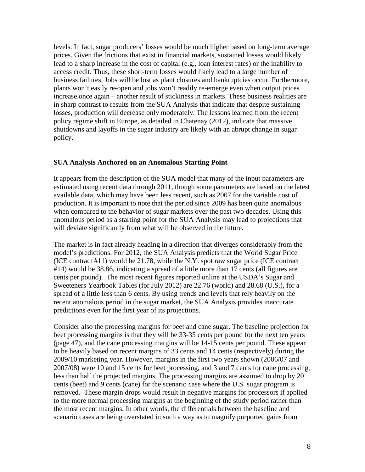levels. In fact, sugar producers' losses would be much higher based on long-term average prices. Given the frictions that exist in financial markets, sustained losses would likely lead to a sharp increase in the cost of capital (e.g., loan interest rates) or the inability to access credit. Thus, these short-term losses would likely lead to a large number of business failures. Jobs will be lost as plant closures and bankruptcies occur. Furthermore, plants won't easily re-open and jobs won't readily re-emerge even when output prices increase once again – another result of stickiness in markets. These business realities are in sharp contrast to results from the SUA Analysis that indicate that despite sustaining losses, production will decrease only moderately. The lessons learned from the recent policy regime shift in Europe, as detailed in Chatenay (2012), indicate that massive shutdowns and layoffs in the sugar industry are likely with an abrupt change in sugar policy.

#### **SUA Analysis Anchored on an Anomalous Starting Point**

It appears from the description of the SUA model that many of the input parameters are estimated using recent data through 2011, though some parameters are based on the latest available data, which may have been less recent, such as 2007 for the variable cost of production. It is important to note that the period since 2009 has been quite anomalous when compared to the behavior of sugar markets over the past two decades. Using this anomalous period as a starting point for the SUA Analysis may lead to projections that will deviate significantly from what will be observed in the future.

The market is in fact already heading in a direction that diverges considerably from the model's predictions. For 2012, the SUA Analysis predicts that the World Sugar Price (ICE contract #11) would be 21.78, while the N.Y. spot raw sugar price (ICE contract #14) would be 38.86, indicating a spread of a little more than 17 cents (all figures are cents per pound). The most recent figures reported online at the USDA's Sugar and Sweeteners Yearbook Tables (for July 2012) are 22.76 (world) and 28.68 (U.S.), for a spread of a little less than 6 cents. By using trends and levels that rely heavily on the recent anomalous period in the sugar market, the SUA Analysis provides inaccurate predictions even for the first year of its projections.

Consider also the processing margins for beet and cane sugar. The baseline projection for beet processing margins is that they will be 33-35 cents per pound for the next ten years (page 47), and the cane processing margins will be 14-15 cents per pound. These appear to be heavily based on recent margins of 33 cents and 14 cents (respectively) during the 2009/10 marketing year. However, margins in the first two years shown (2006/07 and 2007/08) were 10 and 15 cents for beet processing, and 3 and 7 cents for cane processing, less than half the projected margins. The processing margins are assumed to drop by 20 cents (beet) and 9 cents (cane) for the scenario case where the U.S. sugar program is removed. These margin drops would result in negative margins for processors if applied to the more normal processing margins at the beginning of the study period rather than the most recent margins. In other words, the differentials between the baseline and scenario cases are being overstated in such a way as to magnify purported gains from